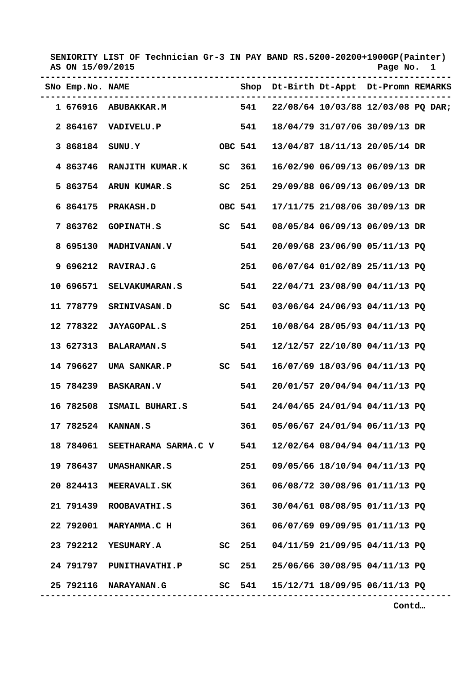| AS ON 15/09/2015 | SENIORITY LIST OF Technician Gr-3 IN PAY BAND RS.5200-20200+1900GP(Painter) |    |         |  | Page No.                               | $\mathbf{1}$ |
|------------------|-----------------------------------------------------------------------------|----|---------|--|----------------------------------------|--------------|
|                  | SNO Emp.No. NAME                                                            |    |         |  | Shop Dt-Birth Dt-Appt Dt-Promn REMARKS |              |
|                  | 1 676916 ABUBAKKAR.M 541 22/08/64 10/03/88 12/03/08 PQ DAR;                 |    |         |  |                                        |              |
|                  | 2 864167 VADIVELU.P                                                         |    | 541     |  | 18/04/79 31/07/06 30/09/13 DR          |              |
|                  | 3 868184 SUNU.Y                                                             |    | OBC 541 |  | 13/04/87 18/11/13 20/05/14 DR          |              |
|                  | 4 863746 RANJITH KUMAR.K                                                    | SC | 361     |  | 16/02/90 06/09/13 06/09/13 DR          |              |
|                  | 5 863754 ARUN KUMAR.S                                                       |    | SC 251  |  | 29/09/88 06/09/13 06/09/13 DR          |              |
|                  | 6 864175 PRAKASH.D                                                          |    | OBC 541 |  | 17/11/75 21/08/06 30/09/13 DR          |              |
| 7 863762         | <b>GOPINATH.S</b>                                                           |    | SC 541  |  | 08/05/84 06/09/13 06/09/13 DR          |              |
| 8 695130         | <b>MADHIVANAN.V</b>                                                         |    | 541     |  | 20/09/68 23/06/90 05/11/13 PQ          |              |
|                  | 9 696212 RAVIRAJ.G                                                          |    | 251     |  | 06/07/64 01/02/89 25/11/13 PQ          |              |
|                  | 10 696571 SELVAKUMARAN.S                                                    |    | 541     |  | 22/04/71 23/08/90 04/11/13 PQ          |              |
|                  | 11 778779 SRINIVASAN.D SC 541                                               |    |         |  | 03/06/64 24/06/93 04/11/13 PQ          |              |
|                  | 12 778322 JAYAGOPAL.S                                                       |    | 251     |  | 10/08/64 28/05/93 04/11/13 PQ          |              |
|                  | 13 627313 BALARAMAN.S                                                       |    | 541     |  | 12/12/57 22/10/80 04/11/13 PQ          |              |
|                  | 14 796627 UMA SANKAR.P                                                      |    | SC 541  |  | 16/07/69 18/03/96 04/11/13 PQ          |              |
|                  |                                                                             |    | 541     |  | 20/01/57 20/04/94 04/11/13 PQ          |              |
| 16 782508        | ISMAIL BUHARI.S                                                             |    | 541     |  | 24/04/65 24/01/94 04/11/13 PQ          |              |
|                  | 17 782524 KANNAN.S                                                          |    | 361     |  | 05/06/67 24/01/94 06/11/13 PQ          |              |
|                  | 18 784061 SEETHARAMA SARMA.C V 541                                          |    |         |  | 12/02/64 08/04/94 04/11/13 PQ          |              |
|                  | 19 786437 UMASHANKAR.S                                                      |    | 251     |  | 09/05/66 18/10/94 04/11/13 PQ          |              |
|                  | 20 824413 MEERAVALI.SK                                                      |    | 361     |  | 06/08/72 30/08/96 01/11/13 PQ          |              |
|                  | 21 791439 ROOBAVATHI.S                                                      |    | 361     |  | 30/04/61 08/08/95 01/11/13 PQ          |              |
|                  | 22 792001 MARYAMMA.C H                                                      |    | 361     |  | 06/07/69 09/09/95 01/11/13 PQ          |              |
|                  |                                                                             |    |         |  | SC 251 04/11/59 21/09/95 04/11/13 PQ   |              |
|                  | 24 791797 PUNITHAVATHI.P SC 251 25/06/66 30/08/95 04/11/13 PQ               |    |         |  |                                        |              |
|                  | 25 792116 NARAYANAN.G                                                       |    | SC 541  |  | 15/12/71 18/09/95 06/11/13 PQ          |              |

 **Contd…**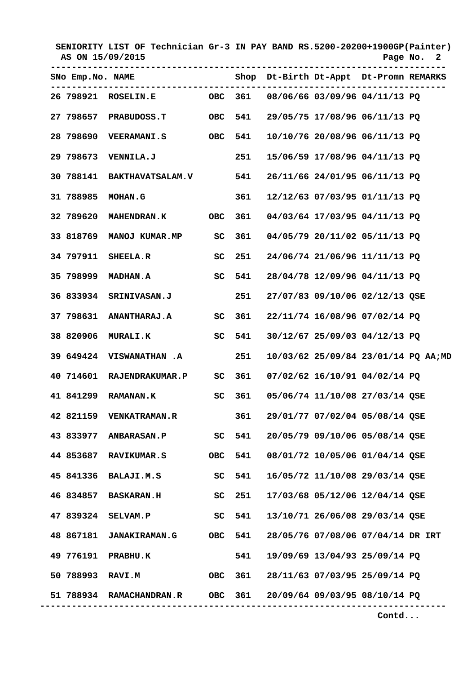| AS ON 15/09/2015 |                          | SENIORITY LIST OF Technician Gr-3 IN PAY BAND RS.5200-20200+1900GP(Painter) |            |        |  | Page No.                               | 2 |
|------------------|--------------------------|-----------------------------------------------------------------------------|------------|--------|--|----------------------------------------|---|
|                  | SNO Emp.No. NAME         | ---------------                                                             |            |        |  | Shop Dt-Birth Dt-Appt Dt-Promn REMARKS |   |
|                  |                          | 26 798921 ROSELIN.E 0BC 361 08/06/66 03/09/96 04/11/13 PQ                   |            |        |  |                                        |   |
|                  |                          | 27 798657 PRABUDOSS.T                                                       | OBC        | 541    |  | 29/05/75 17/08/96 06/11/13 PQ          |   |
|                  |                          |                                                                             | OBC        | 541    |  | 10/10/76 20/08/96 06/11/13 PQ          |   |
| 29 798673        | <b>VENNILA.J</b>         |                                                                             |            | 251    |  | 15/06/59 17/08/96 04/11/13 PQ          |   |
| 30 788141        |                          | BAKTHAVATSALAM.V 541                                                        |            |        |  | 26/11/66 24/01/95 06/11/13 PQ          |   |
| 31 788985        | <b>MOHAN.G</b>           |                                                                             |            | 361    |  | 12/12/63 07/03/95 01/11/13 PQ          |   |
| 32 789620        | <b>MAHENDRAN.K</b>       |                                                                             | <b>OBC</b> | 361    |  | 04/03/64 17/03/95 04/11/13 PQ          |   |
| 33 818769        | <b>MANOJ KUMAR.MP</b>    |                                                                             | SC         | 361    |  | 04/05/79 20/11/02 05/11/13 PQ          |   |
| 34 797911        | <b>SHEELA.R</b>          |                                                                             | SC         | 251    |  | 24/06/74 21/06/96 11/11/13 PO          |   |
|                  |                          |                                                                             | SC 541     |        |  | 28/04/78 12/09/96 04/11/13 PQ          |   |
| 36 833934        | <b>SRINIVASAN.J</b>      |                                                                             |            | 251    |  | 27/07/83 09/10/06 02/12/13 QSE         |   |
|                  |                          | 37 798631 ANANTHARAJ.A SC 361                                               |            |        |  | 22/11/74 16/08/96 07/02/14 PQ          |   |
| 38 820906        | <b>MURALI.K</b>          |                                                                             |            | SC 541 |  | 30/12/67 25/09/03 04/12/13 PQ          |   |
|                  |                          | 39 649424 VISWANATHAN .A                                                    |            | 251    |  | 10/03/62 25/09/84 23/01/14 PQ AA;MD    |   |
|                  |                          | 40 714601 RAJENDRAKUMAR.P                                                   | SC         | 361    |  | 07/02/62 16/10/91 04/02/14 PQ          |   |
| 41 841299        | <b>RAMANAN.K</b>         |                                                                             | SC         | 361    |  | 05/06/74 11/10/08 27/03/14 QSE         |   |
|                  |                          | 42 821159 VENKATRAMAN.R                                                     |            | 361    |  | 29/01/77 07/02/04 05/08/14 QSE         |   |
|                  |                          | 43 833977 ANBARASAN.P SC 541                                                |            |        |  | 20/05/79 09/10/06 05/08/14 QSE         |   |
|                  |                          | 44 853687 RAVIKUMAR.S                                                       | OBC 541    |        |  | 08/01/72 10/05/06 01/04/14 QSE         |   |
|                  | 45 841336 BALAJI.M.S     | SC 541                                                                      |            |        |  | 16/05/72 11/10/08 29/03/14 QSE         |   |
|                  | 46 834857 BASKARAN.H     |                                                                             | SC 251     |        |  | 17/03/68 05/12/06 12/04/14 QSE         |   |
|                  | 47 839324 SELVAM.P       |                                                                             | SC 541     |        |  | 13/10/71 26/06/08 29/03/14 QSE         |   |
|                  |                          | 48 867181 JANAKIRAMAN.G OBC 541                                             |            |        |  | 28/05/76 07/08/06 07/04/14 DR IRT      |   |
|                  | 49 776191 PRABHU.K       |                                                                             |            | 541    |  | 19/09/69 13/04/93 25/09/14 PQ          |   |
|                  | 50 788993 RAVI.M         |                                                                             | OBC 361    |        |  | 28/11/63 07/03/95 25/09/14 PQ          |   |
|                  | 51 788934 RAMACHANDRAN.R |                                                                             |            |        |  | OBC 361 20/09/64 09/03/95 08/10/14 PQ  |   |

 **Contd...**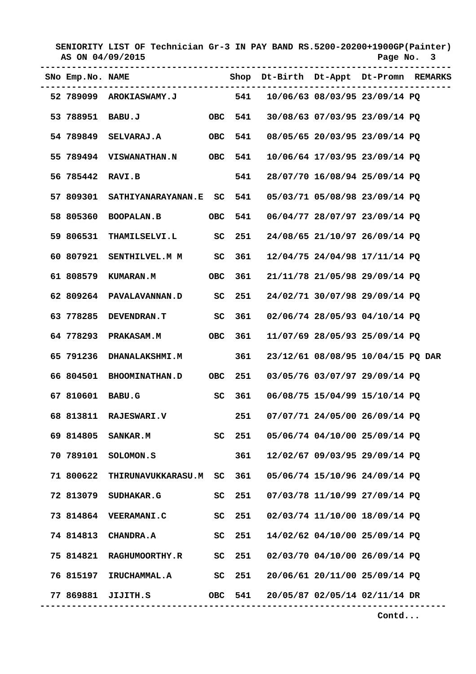| AS ON 04/09/2015 | SENIORITY LIST OF Technician Gr-3 IN PAY BAND RS.5200-20200+1900GP(Painter) |            |     |  |  | Page No.                               | -3 |
|------------------|-----------------------------------------------------------------------------|------------|-----|--|--|----------------------------------------|----|
|                  | SNO Emp.No. NAME<br>---------------------                                   |            |     |  |  | Shop Dt-Birth Dt-Appt Dt-Promn REMARKS |    |
|                  | 52 789099 AROKIASWAMY.J 541 10/06/63 08/03/95 23/09/14 PQ                   |            |     |  |  |                                        |    |
|                  | 53 788951 BABU.J                                                            | OBC 541    |     |  |  | 30/08/63 07/03/95 23/09/14 PQ          |    |
|                  | 54 789849 SELVARAJ.A                                                        | OBC 541    |     |  |  | 08/05/65 20/03/95 23/09/14 PQ          |    |
|                  | 55 789494 VISWANATHAN.N OBC 541                                             |            |     |  |  | 10/06/64 17/03/95 23/09/14 PQ          |    |
| 56 785442        | RAVI.B                                                                      |            | 541 |  |  | 28/07/70 16/08/94 25/09/14 PQ          |    |
| 57 809301        | SATHIYANARAYANAN.E SC 541                                                   |            |     |  |  | 05/03/71 05/08/98 23/09/14 PQ          |    |
| 58 805360        | BOOPALAN.B                                                                  | <b>OBC</b> | 541 |  |  | 06/04/77 28/07/97 23/09/14 PQ          |    |
| 59 806531        | THAMILSELVI.L SC                                                            |            | 251 |  |  | 24/08/65 21/10/97 26/09/14 PQ          |    |
| 60 807921        | SENTHILVEL.M M SC                                                           |            | 361 |  |  | 12/04/75 24/04/98 17/11/14 PQ          |    |
| 61 808579        | <b>KUMARAN.M</b>                                                            | OBC        | 361 |  |  | 21/11/78 21/05/98 29/09/14 PQ          |    |
|                  | 62 809264 PAVALAVANNAN.D SC 251                                             |            |     |  |  | 24/02/71 30/07/98 29/09/14 PQ          |    |
| 63 778285        | DEVENDRAN.T SC 361                                                          |            |     |  |  | 02/06/74 28/05/93 04/10/14 PQ          |    |
| 64 778293        | PRAKASAM.M OBC                                                              |            | 361 |  |  | 11/07/69 28/05/93 25/09/14 PQ          |    |
| 65 791236        | <b>DHANALAKSHMI.M</b>                                                       |            | 361 |  |  | 23/12/61 08/08/95 10/04/15 PQ DAR      |    |
| 66 804501        | <b>BHOOMINATHAN.D</b>                                                       | OBC        | 251 |  |  | 03/05/76 03/07/97 29/09/14 PQ          |    |
| 67 810601        | <b>BABU.G</b>                                                               | SC         | 361 |  |  | 06/08/75 15/04/99 15/10/14 PQ          |    |
|                  | 68 813811 RAJESWARI.V                                                       |            | 251 |  |  | 07/07/71 24/05/00 26/09/14 PQ          |    |
|                  | 69 814805 SANKAR.M SC 251                                                   |            |     |  |  | 05/06/74 04/10/00 25/09/14 PQ          |    |
|                  | 70 789101 SOLOMON.S                                                         |            | 361 |  |  | 12/02/67 09/03/95 29/09/14 PQ          |    |
| 71 800622        | THIRUNAVUKKARASU.M SC 361                                                   |            |     |  |  | 05/06/74 15/10/96 24/09/14 PQ          |    |
| 72 813079        | <b>SUDHAKAR.G</b>                                                           | SC 251     |     |  |  | 07/03/78 11/10/99 27/09/14 PQ          |    |
|                  | <b>73 814864 VEERAMANI.C</b>                                                | SC 251     |     |  |  | 02/03/74 11/10/00 18/09/14 PQ          |    |
| 74 814813        | <b>CHANDRA.A</b>                                                            | SC 251     |     |  |  | 14/02/62 04/10/00 25/09/14 PQ          |    |
|                  | 75 814821 RAGHUMOORTHY.R SC 251                                             |            |     |  |  | 02/03/70 04/10/00 26/09/14 PQ          |    |
|                  | 76 815197 IRUCHAMMAL.A SC 251                                               |            |     |  |  | 20/06/61 20/11/00 25/09/14 PQ          |    |
|                  | 77 869881 JIJITH.S                                                          |            |     |  |  | OBC 541 20/05/87 02/05/14 02/11/14 DR  |    |

 **Contd...**